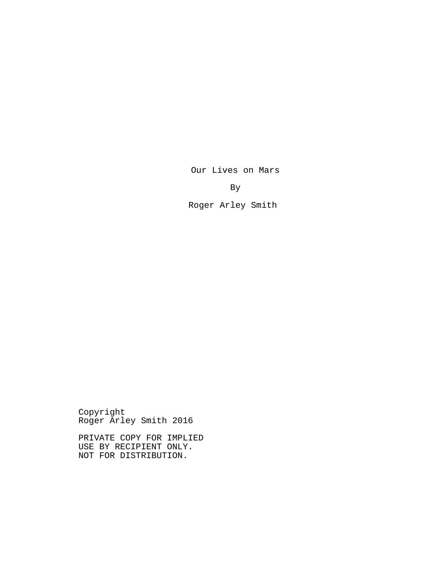By

Our Lives on Mars

Roger Arley Smith

Copyright Roger Arley Smith 2016

PRIVATE COPY FOR IMPLIED USE BY RECIPIENT ONLY. NOT FOR DISTRIBUTION.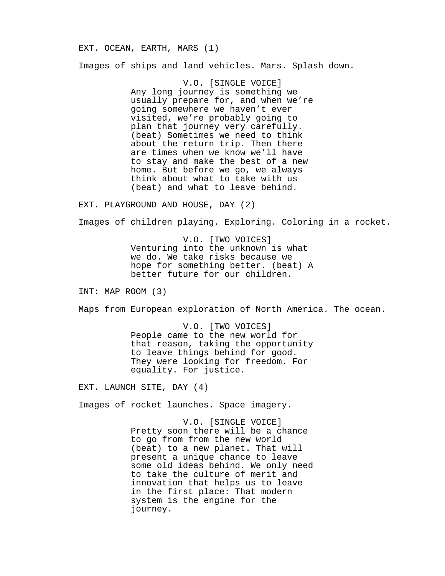EXT. OCEAN, EARTH, MARS (1) Images of ships and land vehicles. Mars. Splash down.

> V.O. [SINGLE VOICE] Any long journey is something we usually prepare for, and when we're going somewhere we haven't ever visited, we're probably going to plan that journey very carefully. (beat) Sometimes we need to think about the return trip. Then there are times when we know we'll have to stay and make the best of a new home. But before we go, we always think about what to take with us (beat) and what to leave behind.

EXT. PLAYGROUND AND HOUSE, DAY (2)

Images of children playing. Exploring. Coloring in a rocket.

V.O. [TWO VOICES] Venturing into the unknown is what we do. We take risks because we hope for something better. (beat) A better future for our children.

INT: MAP ROOM (3)

Maps from European exploration of North America. The ocean.

V.O. [TWO VOICES] People came to the new world for that reason, taking the opportunity to leave things behind for good. They were looking for freedom. For equality. For justice.

EXT. LAUNCH SITE, DAY (4)

Images of rocket launches. Space imagery.

V.O. [SINGLE VOICE] Pretty soon there will be a chance to go from from the new world (beat) to a new planet. That will present a unique chance to leave some old ideas behind. We only need to take the culture of merit and innovation that helps us to leave in the first place: That modern system is the engine for the journey.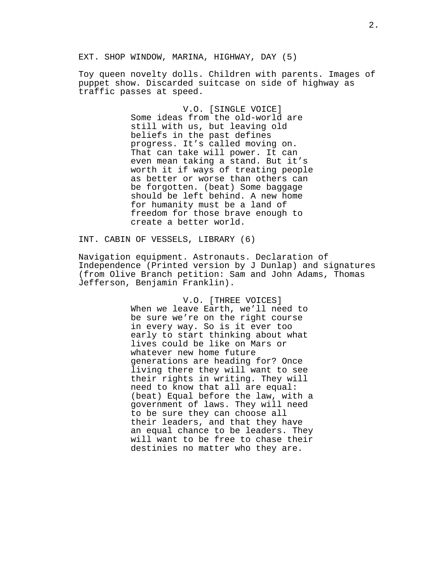EXT. SHOP WINDOW, MARINA, HIGHWAY, DAY (5)

Toy queen novelty dolls. Children with parents. Images of puppet show. Discarded suitcase on side of highway as traffic passes at speed.

> V.O. [SINGLE VOICE] Some ideas from the old-world are still with us, but leaving old beliefs in the past defines progress. It's called moving on. That can take will power. It can even mean taking a stand. But it's worth it if ways of treating people as better or worse than others can be forgotten. (beat) Some baggage should be left behind. A new home for humanity must be a land of freedom for those brave enough to create a better world.

INT. CABIN OF VESSELS, LIBRARY (6)

Navigation equipment. Astronauts. Declaration of Independence (Printed version by J Dunlap) and signatures (from Olive Branch petition: Sam and John Adams, Thomas Jefferson, Benjamin Franklin).

> V.O. [THREE VOICES] When we leave Earth, we'll need to be sure we're on the right course in every way. So is it ever too early to start thinking about what lives could be like on Mars or whatever new home future generations are heading for? Once living there they will want to see their rights in writing. They will need to know that all are equal: (beat) Equal before the law, with a government of laws. They will need to be sure they can choose all their leaders, and that they have an equal chance to be leaders. They will want to be free to chase their destinies no matter who they are.